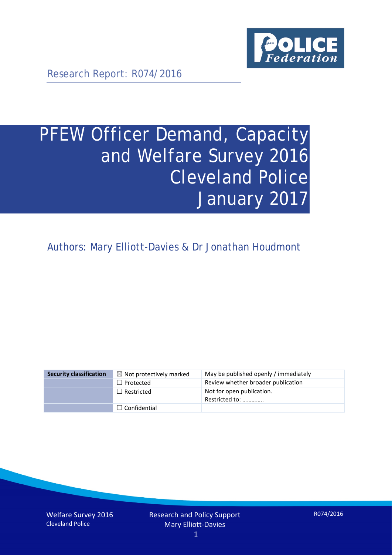

Research Report: R074/2016

# PFEW Officer Demand, Capacity and Welfare Survey 2016 Cleveland Police January 2017

Authors: Mary Elliott-Davies & Dr Jonathan Houdmont

| <b>Security classification</b> | $\boxtimes$ Not protectively marked | May be published openly / immediately       |
|--------------------------------|-------------------------------------|---------------------------------------------|
|                                | $\Box$ Protected                    | Review whether broader publication          |
|                                | $\Box$ Restricted                   | Not for open publication.<br>Restricted to: |
|                                | $\Box$ Confidential                 |                                             |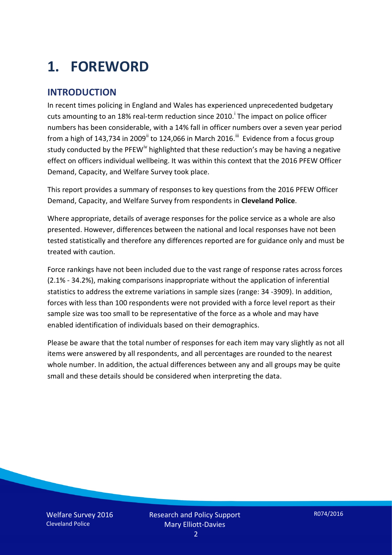# **1. FOREWORD**

## **INTRODUCTION**

In recent times policing in England and Wales has experienced unprecedented budgetary cuts amount[i](#page-15-0)ng to an 18% real-term reduction since 2010.<sup>1</sup> The impact on police officer numbers has been considerable, with a 14% fall in officer numbers over a seven year period from a high of 143,734 in 2009<sup>[ii](#page-15-1)</sup> to 124,066 in March 2016.<sup>[iii](#page-15-2)</sup> Evidence from a focus group study conducted by the PFEW<sup>[iv](#page-15-3)</sup> highlighted that these reduction's may be having a negative effect on officers individual wellbeing. It was within this context that the 2016 PFEW Officer Demand, Capacity, and Welfare Survey took place.

This report provides a summary of responses to key questions from the 2016 PFEW Officer Demand, Capacity, and Welfare Survey from respondents in **Cleveland Police**.

Where appropriate, details of average responses for the police service as a whole are also presented. However, differences between the national and local responses have not been tested statistically and therefore any differences reported are for guidance only and must be treated with caution.

Force rankings have not been included due to the vast range of response rates across forces (2.1% - 34.2%), making comparisons inappropriate without the application of inferential statistics to address the extreme variations in sample sizes (range: 34 -3909). In addition, forces with less than 100 respondents were not provided with a force level report as their sample size was too small to be representative of the force as a whole and may have enabled identification of individuals based on their demographics.

Please be aware that the total number of responses for each item may vary slightly as not all items were answered by all respondents, and all percentages are rounded to the nearest whole number. In addition, the actual differences between any and all groups may be quite small and these details should be considered when interpreting the data.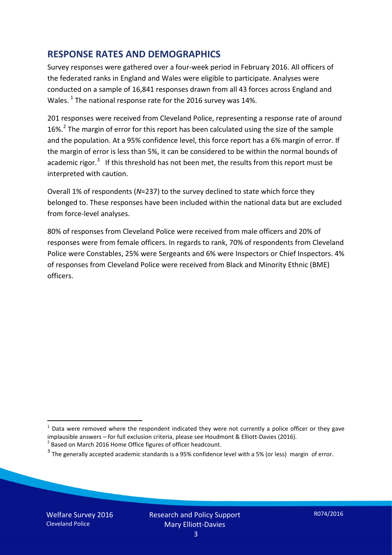## **RESPONSE RATES AND DEMOGRAPHICS**

Survey responses were gathered over a four-week period in February 2016. All officers of the federated ranks in England and Wales were eligible to participate. Analyses were conducted on a sample of 16,841 responses drawn from all 43 forces across England and Wales.  $^1$  $^1$  The national response rate for the 2016 survey was 14%.

201 responses were received from Cleveland Police, representing a response rate of around 16%.<sup>[2](#page-2-1)</sup> The margin of error for this report has been calculated using the size of the sample and the population. At a 95% confidence level, this force report has a 6% margin of error. If the margin of error is less than 5%, it can be considered to be within the normal bounds of academic rigor.<sup>[3](#page-2-2)</sup> If this threshold has not been met, the results from this report must be interpreted with caution.

Overall 1% of respondents (*N*=237) to the survey declined to state which force they belonged to. These responses have been included within the national data but are excluded from force-level analyses.

80% of responses from Cleveland Police were received from male officers and 20% of responses were from female officers. In regards to rank, 70% of respondents from Cleveland Police were Constables, 25% were Sergeants and 6% were Inspectors or Chief Inspectors. 4% of responses from Cleveland Police were received from Black and Minority Ethnic (BME) officers.

-

<span id="page-2-0"></span> $1$  Data were removed where the respondent indicated they were not currently a police officer or they gave implausible answers – for full exclusion criteria, please see Houdmont & Elliott-Davies (2016).<br><sup>2</sup> Based on March 2016 Home Office figures of officer headcount.

<span id="page-2-1"></span>

<span id="page-2-2"></span> $3$  The generally accepted academic standards is a 95% confidence level with a 5% (or less) margin of error.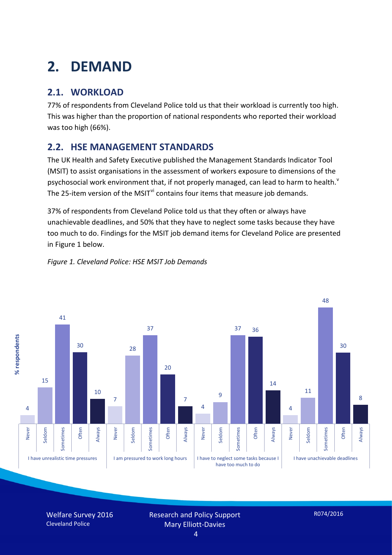# **2. DEMAND**

## **2.1. WORKLOAD**

77% of respondents from Cleveland Police told us that their workload is currently too high. This was higher than the proportion of national respondents who reported their workload was too high (66%).

## **2.2. HSE MANAGEMENT STANDARDS**

The UK Health and Safety Executive published the Management Standards Indicator Tool (MSIT) to assist organisations in the assessment of workers exposure to dimensions of the psychosocial work en[v](#page-15-4)ironment that, if not properly managed, can lead to harm to health.<sup>v</sup> The 25-item version of the MSIT<sup>[vi](#page-15-5)</sup> contains four items that measure job demands.

37% of respondents from Cleveland Police told us that they often or always have unachievable deadlines, and 50% that they have to neglect some tasks because they have too much to do. Findings for the MSIT job demand items for Cleveland Police are presented in Figure 1 below.



#### *Figure 1. Cleveland Police: HSE MSIT Job Demands*

Welfare Survey 2016 Cleveland Police

Research and Policy Support Mary Elliott-Davies

4

R074/2016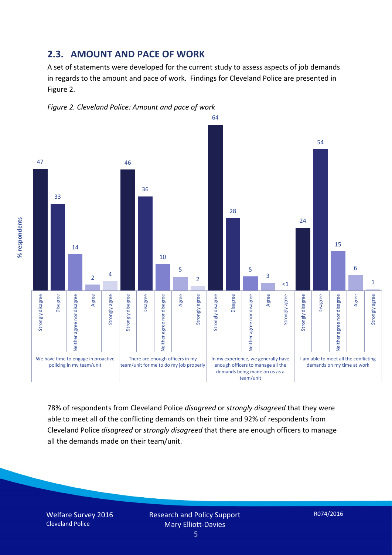#### **2.3. AMOUNT AND PACE OF WORK**

A set of statements were developed for the current study to assess aspects of job demands in regards to the amount and pace of work. Findings for Cleveland Police are presented in Figure 2.





78% of respondents from Cleveland Police *disagreed* or *strongly disagreed* that they were able to meet all of the conflicting demands on their time and 92% of respondents from Cleveland Police *disagreed* or *strongly disagreed* that there are enough officers to manage all the demands made on their team/unit.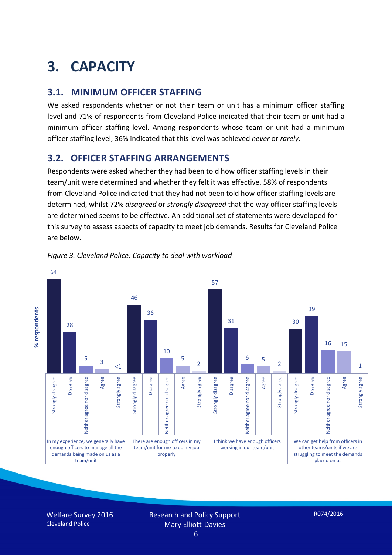# **3. CAPACITY**

## **3.1. MINIMUM OFFICER STAFFING**

We asked respondents whether or not their team or unit has a minimum officer staffing level and 71% of respondents from Cleveland Police indicated that their team or unit had a minimum officer staffing level. Among respondents whose team or unit had a minimum officer staffing level, 36% indicated that this level was achieved *never* or *rarely*.

## **3.2. OFFICER STAFFING ARRANGEMENTS**

Respondents were asked whether they had been told how officer staffing levels in their team/unit were determined and whether they felt it was effective. 58% of respondents from Cleveland Police indicated that they had not been told how officer staffing levels are determined, whilst 72% *disagreed* or *strongly disagreed* that the way officer staffing levels are determined seems to be effective. An additional set of statements were developed for this survey to assess aspects of capacity to meet job demands. Results for Cleveland Police are below.



*Figure 3. Cleveland Police: Capacity to deal with workload*

Welfare Survey 2016 Cleveland Police

Research and Policy Support Mary Elliott-Davies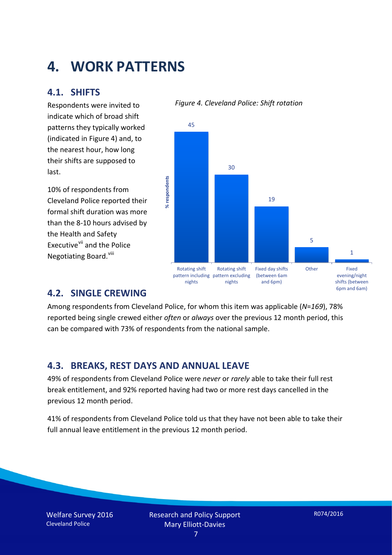## **4. WORK PATTERNS**

## **4.1. SHIFTS**

Respondents were invited to indicate which of broad shift patterns they typically worked (indicated in Figure 4) and, to the nearest hour, how long their shifts are supposed to last.

10% of respondents from Cleveland Police reported their formal shift duration was more than the 8-10 hours advised by the Health and Safety Executive<sup>[vii](#page-15-6)</sup> and the Police Negotiating Board.<sup>[viii](#page-15-7)</sup>





## **4.2. SINGLE CREWING**

Among respondents from Cleveland Police, for whom this item was applicable (*N*=*169*), 78% reported being single crewed either *often* or *always* over the previous 12 month period, this can be compared with 73% of respondents from the national sample.

## **4.3. BREAKS, REST DAYS AND ANNUAL LEAVE**

49% of respondents from Cleveland Police were *never* or *rarely* able to take their full rest break entitlement, and 92% reported having had two or more rest days cancelled in the previous 12 month period.

41% of respondents from Cleveland Police told us that they have not been able to take their full annual leave entitlement in the previous 12 month period.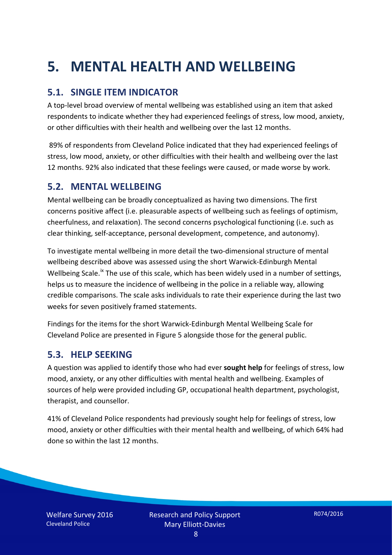# **5. MENTAL HEALTH AND WELLBEING**

## **5.1. SINGLE ITEM INDICATOR**

A top-level broad overview of mental wellbeing was established using an item that asked respondents to indicate whether they had experienced feelings of stress, low mood, anxiety, or other difficulties with their health and wellbeing over the last 12 months.

89% of respondents from Cleveland Police indicated that they had experienced feelings of stress, low mood, anxiety, or other difficulties with their health and wellbeing over the last 12 months. 92% also indicated that these feelings were caused, or made worse by work.

### **5.2. MENTAL WELLBEING**

Mental wellbeing can be broadly conceptualized as having two dimensions. The first concerns positive affect (i.e. pleasurable aspects of wellbeing such as feelings of optimism, cheerfulness, and relaxation). The second concerns psychological functioning (i.e. such as clear thinking, self-acceptance, personal development, competence, and autonomy).

To investigate mental wellbeing in more detail the two-dimensional structure of mental wellbeing described above was assessed using the short Warwick-Edinburgh Mental Wellbeing Scale.<sup>[ix](#page-15-8)</sup> The use of this scale, which has been widely used in a number of settings, helps us to measure the incidence of wellbeing in the police in a reliable way, allowing credible comparisons. The scale asks individuals to rate their experience during the last two weeks for seven positively framed statements.

Findings for the items for the short Warwick-Edinburgh Mental Wellbeing Scale for Cleveland Police are presented in Figure 5 alongside those for the general public.

#### **5.3. HELP SEEKING**

A question was applied to identify those who had ever **sought help** for feelings of stress, low mood, anxiety, or any other difficulties with mental health and wellbeing. Examples of sources of help were provided including GP, occupational health department, psychologist, therapist, and counsellor.

41% of Cleveland Police respondents had previously sought help for feelings of stress, low mood, anxiety or other difficulties with their mental health and wellbeing, of which 64% had done so within the last 12 months.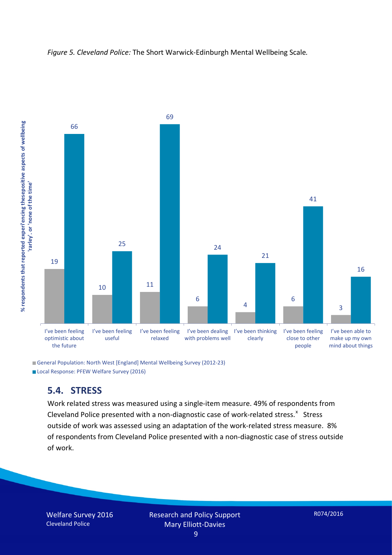



General Population: North West [England] Mental Wellbeing Survey (2012-23) Local Response: PFEW Welfare Survey (2016)

#### **5.4. STRESS**

Work related stress was measured using a single-item measure. 49% of respondents from Cleveland Police presented with a non-diagnostic case of work-related stress. $x$  Stress outside of work was assessed using an adaptation of the work-related stress measure. 8% of respondents from Cleveland Police presented with a non-diagnostic case of stress outside of work.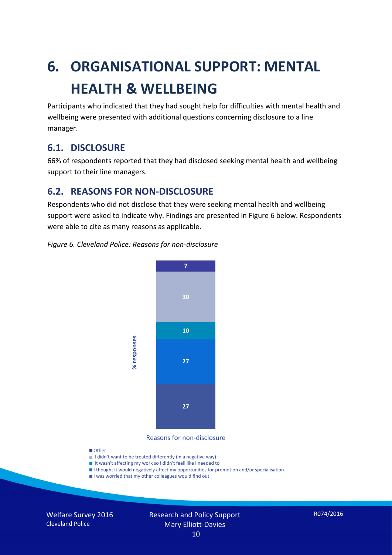# **6. ORGANISATIONAL SUPPORT: MENTAL HEALTH & WELLBEING**

Participants who indicated that they had sought help for difficulties with mental health and wellbeing were presented with additional questions concerning disclosure to a line manager.

## **6.1. DISCLOSURE**

66% of respondents reported that they had disclosed seeking mental health and wellbeing support to their line managers.

## **6.2. REASONS FOR NON-DISCLOSURE**

Respondents who did not disclose that they were seeking mental health and wellbeing support were asked to indicate why. Findings are presented in Figure 6 below. Respondents were able to cite as many reasons as applicable.

#### *Figure 6. Cleveland Police: Reasons for non-disclosure*



Reasons for non-disclosure

#### **D**Other

- I didn't want to be treated differently (in a negative way)
- I It wasn't affecting my work so I didn't feeli like I needed to
- I thought it would negatively affect my opportunities for promotion and/or specialisation
- I was worried that my other colleagues would find out

Welfare Survey 2016 Cleveland Police

Research and Policy Support Mary Elliott-Davies 10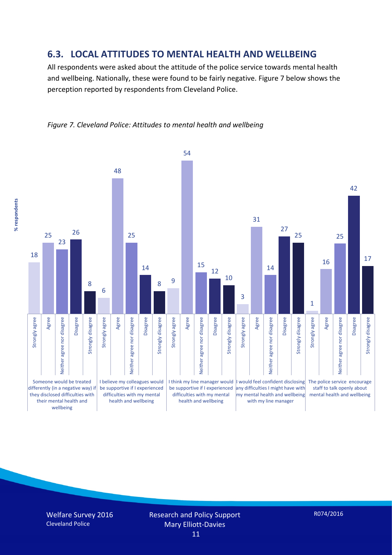#### **6.3. LOCAL ATTITUDES TO MENTAL HEALTH AND WELLBEING**

All respondents were asked about the attitude of the police service towards mental health and wellbeing. Nationally, these were found to be fairly negative. Figure 7 below shows the perception reported by respondents from Cleveland Police.



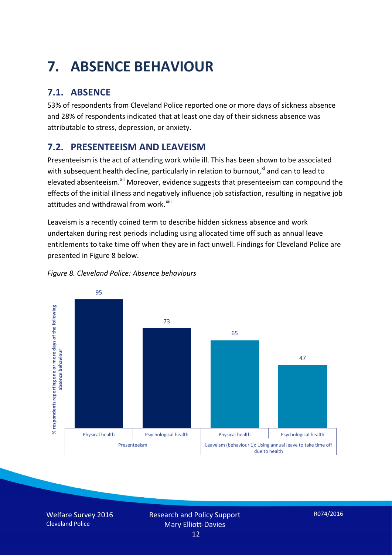# **7. ABSENCE BEHAVIOUR**

## **7.1. ABSENCE**

53% of respondents from Cleveland Police reported one or more days of sickness absence and 28% of respondents indicated that at least one day of their sickness absence was attributable to stress, depression, or anxiety.

## **7.2. PRESENTEEISM AND LEAVEISM**

Presenteeism is the act of attending work while ill. This has been shown to be associated with subsequent health decline, particularly in relation to burnout, $x_i$  and can to lead to elevated absenteeism.<sup>[xii](#page-16-1)</sup> Moreover, evidence suggests that presenteeism can compound the effects of the initial illness and negatively influence job satisfaction, resulting in negative job attitudes and withdrawal from work.<sup>[xiii](#page-16-2)</sup>

Leaveism is a recently coined term to describe hidden sickness absence and work undertaken during rest periods including using allocated time off such as annual leave entitlements to take time off when they are in fact unwell. Findings for Cleveland Police are presented in Figure 8 below.



#### *Figure 8. Cleveland Police: Absence behaviours*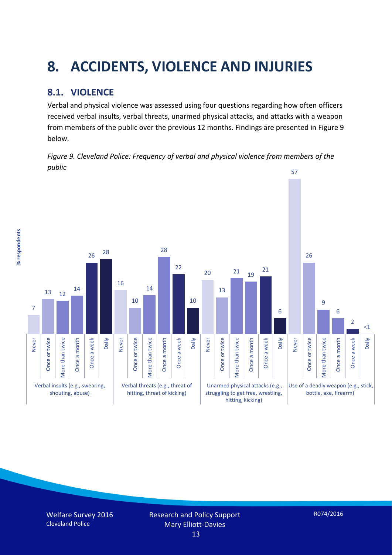# **8. ACCIDENTS, VIOLENCE AND INJURIES**

## **8.1. VIOLENCE**

% respondents **% respondents** Verbal and physical violence was assessed using four questions regarding how often officers received verbal insults, verbal threats, unarmed physical attacks, and attacks with a weapon from members of the public over the previous 12 months. Findings are presented in Figure 9 below.



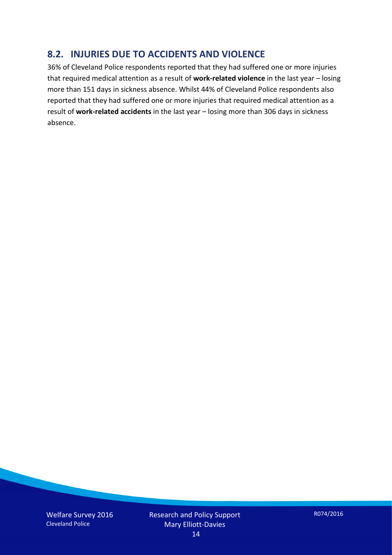## **8.2. INJURIES DUE TO ACCIDENTS AND VIOLENCE**

36% of Cleveland Police respondents reported that they had suffered one or more injuries that required medical attention as a result of **work-related violence** in the last year – losing more than 151 days in sickness absence. Whilst 44% of Cleveland Police respondents also reported that they had suffered one or more injuries that required medical attention as a result of **work-related accidents** in the last year – losing more than 306 days in sickness absence.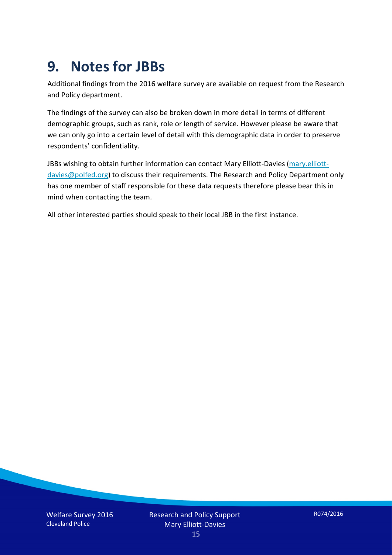## **9. Notes for JBBs**

Additional findings from the 2016 welfare survey are available on request from the Research and Policy department.

The findings of the survey can also be broken down in more detail in terms of different demographic groups, such as rank, role or length of service. However please be aware that we can only go into a certain level of detail with this demographic data in order to preserve respondents' confidentiality.

JBBs wishing to obtain further information can contact Mary Elliott-Davies [\(mary.elliott](mailto:mary.elliott-davies@polfed.org)[davies@polfed.org\)](mailto:mary.elliott-davies@polfed.org) to discuss their requirements. The Research and Policy Department only has one member of staff responsible for these data requests therefore please bear this in mind when contacting the team.

All other interested parties should speak to their local JBB in the first instance.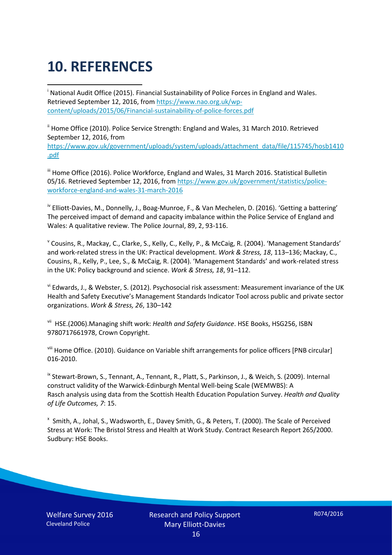# **10. REFERENCES**

<span id="page-15-0"></span>i National Audit Office (2015). Financial Sustainability of Police Forces in England and Wales. Retrieved September 12, 2016, fro[m https://www.nao.org.uk/wp](https://www.nao.org.uk/wp-content/uploads/2015/06/Financial-sustainability-of-police-forces.pdf)[content/uploads/2015/06/Financial-sustainability-of-police-forces.pdf](https://www.nao.org.uk/wp-content/uploads/2015/06/Financial-sustainability-of-police-forces.pdf)

<span id="page-15-1"></span><sup>ii</sup> Home Office (2010). Police Service Strength: England and Wales, 31 March 2010. Retrieved September 12, 2016, from [https://www.gov.uk/government/uploads/system/uploads/attachment\\_data/file/115745/hosb1410](https://www.gov.uk/government/uploads/system/uploads/attachment_data/file/115745/hosb1410.pdf) [.pdf](https://www.gov.uk/government/uploads/system/uploads/attachment_data/file/115745/hosb1410.pdf)

<span id="page-15-2"></span><sup>iii</sup> Home Office (2016). Police Workforce, England and Wales, 31 March 2016. Statistical Bulletin 05/16. Retrieved September 12, 2016, fro[m https://www.gov.uk/government/statistics/police](https://www.gov.uk/government/statistics/police-workforce-england-and-wales-31-march-2016)[workforce-england-and-wales-31-march-2016](https://www.gov.uk/government/statistics/police-workforce-england-and-wales-31-march-2016)

<span id="page-15-3"></span><sup>iv</sup> Elliott-Davies, M., Donnelly, J., Boag-Munroe, F., & Van Mechelen, D. (2016). 'Getting a battering' The perceived impact of demand and capacity imbalance within the Police Service of England and Wales: A qualitative review. The Police Journal, 89, 2, 93-116.

<span id="page-15-4"></span><sup>v</sup> Cousins, R., Mackay, C., Clarke, S., Kelly, C., Kelly, P., & McCaig, R. (2004). 'Management Standards' and work-related stress in the UK: Practical development. *Work & Stress, 18*, 113–136; Mackay, C., Cousins, R., Kelly, P., Lee, S., & McCaig, R. (2004). 'Management Standards' and work-related stress in the UK: Policy background and science. *Work & Stress, 18*, 91–112.

<span id="page-15-5"></span>vi Edwards, J., & Webster, S. (2012). Psychosocial risk assessment: Measurement invariance of the UK Health and Safety Executive's Management Standards Indicator Tool across public and private sector organizations. *Work & Stress, 26*, 130–142

<span id="page-15-6"></span>vii HSE.(2006).Managing shift work: *Health and Safety Guidance*. HSE Books, HSG256, ISBN 9780717661978, Crown Copyright.

<span id="page-15-7"></span>viii Home Office. (2010). Guidance on Variable shift arrangements for police officers [PNB circular] 016-2010.

<span id="page-15-8"></span><sup>ix</sup> Stewart-Brown, S., Tennant, A., Tennant, R., Platt, S., Parkinson, J., & Weich, S. (2009). Internal construct validity of the Warwick-Edinburgh Mental Well-being Scale (WEMWBS): A Rasch analysis using data from the Scottish Health Education Population Survey. *Health and Quality of Life Outcomes, 7*: 15.

<span id="page-15-9"></span>x Smith, A., Johal, S., Wadsworth, E., Davey Smith, G., & Peters, T. (2000). The Scale of Perceived Stress at Work: The Bristol Stress and Health at Work Study. Contract Research Report 265/2000. Sudbury: HSE Books.